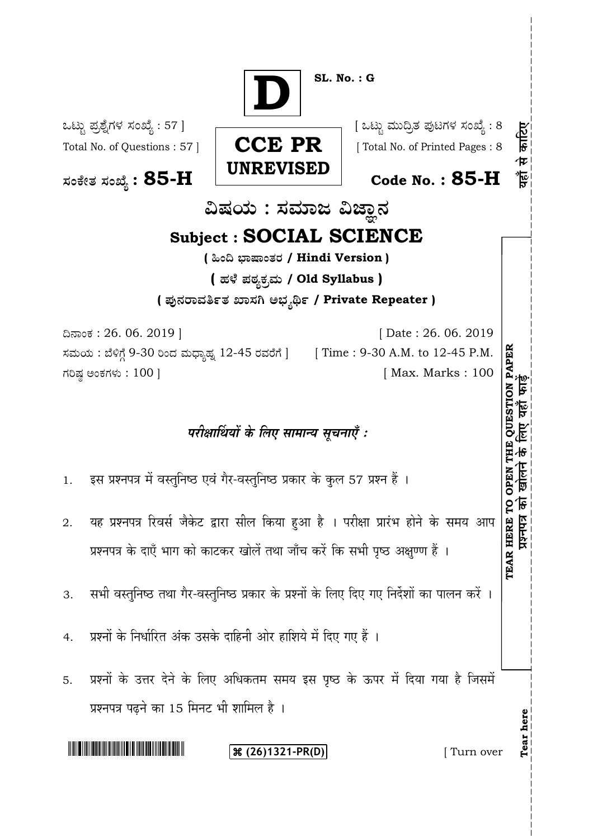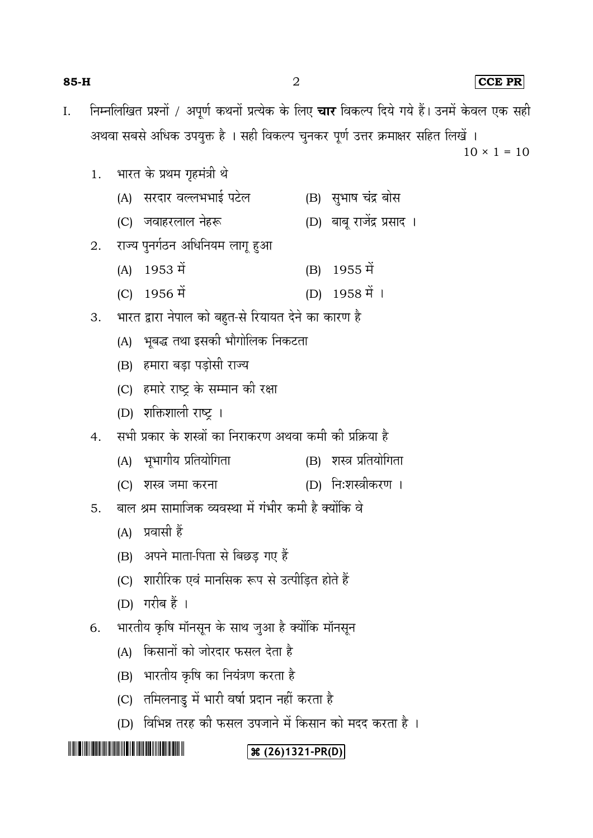| $85-H$ |    |     | $\overline{2}$                                                                                                                                                                                                                                              |     |                             |  |  | $CCE$ PR           |  |  |  |
|--------|----|-----|-------------------------------------------------------------------------------------------------------------------------------------------------------------------------------------------------------------------------------------------------------------|-----|-----------------------------|--|--|--------------------|--|--|--|
| Ι.     |    |     | निम्नलिखित प्रश्नों / अपूर्ण कथनों प्रत्येक के लिए <b>चार</b> विकल्प दिये गये हैं। उनमें केवल एक सही                                                                                                                                                        |     |                             |  |  |                    |  |  |  |
|        |    |     | अथवा सबसे अधिक उपयुक्त है । सही विकल्प चुनकर पूर्ण उत्तर क्रमाक्षर सहित लिखें ।                                                                                                                                                                             |     |                             |  |  |                    |  |  |  |
|        |    |     |                                                                                                                                                                                                                                                             |     |                             |  |  | $10 \times 1 = 10$ |  |  |  |
|        | 1. |     | भारत के प्रथम गृहमंत्री थे                                                                                                                                                                                                                                  |     |                             |  |  |                    |  |  |  |
|        |    | (A) | सरदार वल्लभभाई पटेल                                                                                                                                                                                                                                         |     | (B) सुभाष चंद्र बोस         |  |  |                    |  |  |  |
|        |    |     | (C) जवाहरलाल नेहरू                                                                                                                                                                                                                                          |     | (D) बाबू रार्जेद्र प्रसाद । |  |  |                    |  |  |  |
|        | 2. |     | राज्य पुनर्गठन अधिनियम लागू हुआ                                                                                                                                                                                                                             |     |                             |  |  |                    |  |  |  |
|        |    | (A) | 1953 में                                                                                                                                                                                                                                                    | (B) | 1955 में                    |  |  |                    |  |  |  |
|        |    |     | (C) 1956 में                                                                                                                                                                                                                                                |     | $(D)$ 1958 में 1            |  |  |                    |  |  |  |
|        | 3. |     | भारत द्वारा नेपाल को बहुत-से रियायत देने का कारण है                                                                                                                                                                                                         |     |                             |  |  |                    |  |  |  |
|        |    |     | (A) भूबद्ध तथा इसकी भौगोलिक निकटता                                                                                                                                                                                                                          |     |                             |  |  |                    |  |  |  |
|        |    |     | (B) हमारा बड़ा पड़ोसी राज्य                                                                                                                                                                                                                                 |     |                             |  |  |                    |  |  |  |
|        |    |     | (C)   हमारे राष्ट्र के सम्मान की रक्षा                                                                                                                                                                                                                      |     |                             |  |  |                    |  |  |  |
|        |    |     | (D) शक्तिशाली राष्ट्र ।                                                                                                                                                                                                                                     |     |                             |  |  |                    |  |  |  |
|        | 4. |     | सभी प्रकार के शस्त्रों का निराकरण अथवा कमी की प्रक्रिया है                                                                                                                                                                                                  |     |                             |  |  |                    |  |  |  |
|        |    |     | (A) भूभागीय प्रतियोगिता                                                                                                                                                                                                                                     |     | (B) शस्त्र प्रतियोगिता      |  |  |                    |  |  |  |
|        |    |     | (C) शस्त्र जमा करना                                                                                                                                                                                                                                         |     | (D) निःशस्त्रीकरण ।         |  |  |                    |  |  |  |
|        | 5. |     | बाल श्रम सामाजिक व्यवस्था में गंभीर कमी है क्योंकि वे                                                                                                                                                                                                       |     |                             |  |  |                    |  |  |  |
|        |    | (A) | प्रवासी हैं                                                                                                                                                                                                                                                 |     |                             |  |  |                    |  |  |  |
|        |    | (B) | अपने माता-पिता से बिछड़ गए हैं                                                                                                                                                                                                                              |     |                             |  |  |                    |  |  |  |
|        |    | (C) | शारीरिक एवं मानसिक रूप से उत्पीड़ित होते हैं                                                                                                                                                                                                                |     |                             |  |  |                    |  |  |  |
|        |    | (D) | गरीब हैं ।                                                                                                                                                                                                                                                  |     |                             |  |  |                    |  |  |  |
|        | 6. |     | भारतीय कृषि मॉनसून के साथ जुआ है क्योंकि मॉनसून                                                                                                                                                                                                             |     |                             |  |  |                    |  |  |  |
|        |    | (A) | किसानों को जोरदार फसल देता है                                                                                                                                                                                                                               |     |                             |  |  |                    |  |  |  |
|        |    | (B) | भारतीय कृषि का नियंत्रण करता है                                                                                                                                                                                                                             |     |                             |  |  |                    |  |  |  |
|        |    | (C) | तमिलनाडु में भारी वर्षा प्रदान नहीं करता है                                                                                                                                                                                                                 |     |                             |  |  |                    |  |  |  |
|        |    | (D) | विभिन्न तरह की फसल उपजाने में किसान को मदद करता है ।                                                                                                                                                                                                        |     |                             |  |  |                    |  |  |  |
|        |    |     | <u> III. An t-Imrìogadh ann an t-Imrìogadh ann an t-Imrìogadh ann an t-Imrìogadh ann an t-Imrìogadh ann an t-Imrìogadh ann an t-Imrìogadh ann an t-Imrìogadh ann an t-Imrìogadh ann an t-Imrìogadh ann an t-Imrìogadh ann an t-I</u><br>$\Re(26)1321-PR(D)$ |     |                             |  |  |                    |  |  |  |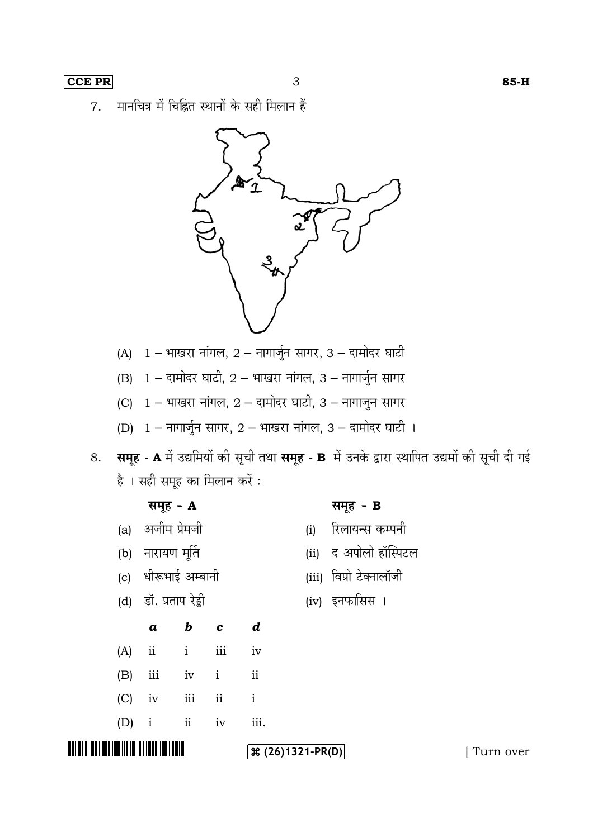मानचित्र में चिह्नित स्थानों के सही मिलान हैं 7.



- (A)  $1 -$  भाखरा नांगल,  $2 -$  नागार्जुन सागर, 3 दामोदर घाटी
- (B)  $1 \pi$ नामोदर घाटी,  $2 \pi$ याखरा नांगल, 3 नागार्जुन सागर
- (C)  $1 -$  भाखरा नांगल,  $2 -$  दामोदर घाटी,  $3 -$  नागाजुन सागर
- (D)  $1 \pi n \sqrt{3} \pi$  सागर,  $2 \pi n \sqrt{3} \pi$ , 3 दामोदर घाटी ।
- 8. समूह A में उद्यमियों की सूची तथा समूह B में उनके द्वारा स्थापित उद्यमों की सूची दी गई है । सही समूह का मिलान करें :

|                 |                       | समूह - A            |  |                  |                     | समूह - B                |           |
|-----------------|-----------------------|---------------------|--|------------------|---------------------|-------------------------|-----------|
|                 |                       | (a) अजीम प्रेमजी    |  |                  | (i)                 | रिलायन्स कम्पनी         |           |
|                 |                       | (b) नारायण मूर्ति   |  |                  |                     | (ii) द अपोलो हॉस्पिटल   |           |
|                 |                       | (c) धीरूभाई अम्बानी |  |                  |                     | (iii) विप्रो टेक्नालॉजी |           |
|                 | (d) डॉ. प्रताप रेड्डी |                     |  |                  |                     | (iv) इनफासिस ।          |           |
|                 | $\boldsymbol{a}$      | $b$ $c$             |  | $\boldsymbol{d}$ |                     |                         |           |
| (A)             |                       | $ii$ $i$ $iii$      |  | iv               |                     |                         |           |
| (B)             |                       | iii iv i ii         |  |                  |                     |                         |           |
|                 |                       | $(C)$ iv iii ii     |  | $\mathbf{i}$     |                     |                         |           |
|                 |                       | $(D)$ i ii iv       |  | iii.             |                     |                         |           |
| <u> III III</u> |                       |                     |  |                  | $\Re(26)1321-PR(D)$ |                         | Turn over |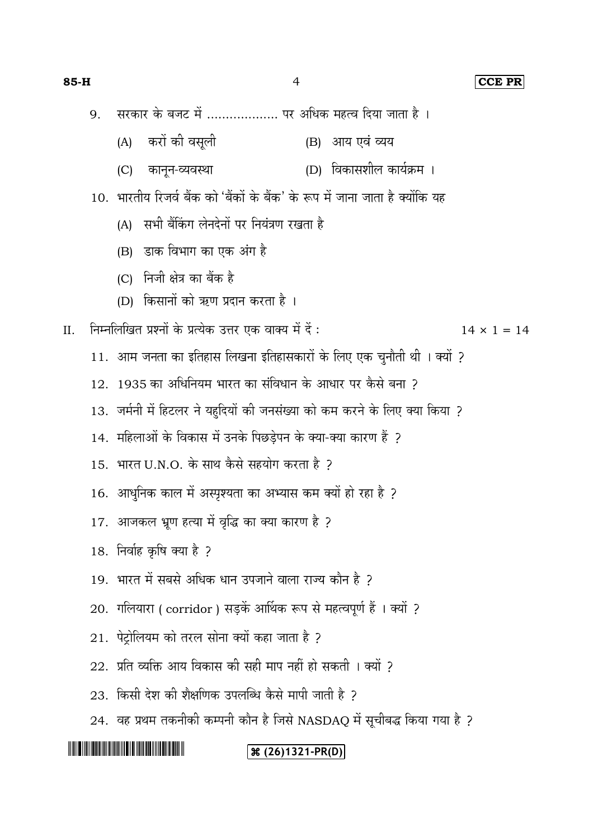#### **85-H** 4 **CCE PR**

- सरकार के बजट में ................... पर अधिक महत्व दिया जाता है । 9.
	- (A) करों की वसूली (B) आय एवं व्यय
	- (C) कानून-व्यवस्था (D) विकासशील कार्यक्रम ।
- 10. भारतीय रिजर्व बैंक को 'बैंकों के बैंक' के रूप में जाना जाता है क्योंकि यह
	- (A) सभी बैंकिंग लेनदेनों पर नियंत्रण रखता है
	- (B) डाक विभाग का एक अंग है
	- (C) निजी क्षेत्र का बैंक है
	- (D) किसानों को ऋण प्रदान करता है।

II. निम्नलिखित प्रश्नों के प्रत्येक उत्तर एक वाक्य में दें :  $14 \times 1 = 14$ 

- 11. आम जनता का इतिहास लिखना इतिहासकारों के लिए एक चुनौती थी। क्यों ?
- 12. 1935 का अधिनियम भारत का संविधान के आधार पर कैसे बना >
- 13. जर्मनी में हिटलर ने यहूदियों की जनसंख्या को कम करने के लिए क्या किया ?
- 14. महिलाओं के विकास में उनके पिछड़ेपन के क्या-क्या कारण हैं ?
- $15.$  भारत U.N.O. के साथ कैसे सहयोग करता है ?
- 16. आधुनिक काल में अस्पृश्यता का अभ्यास कम क्यों हो रहा है ?
- 17. आजकल भ्रूण हत्या में वृद्धि का क्या कारण है ?
- 18. निर्वाह कृषि क्या है ?
- 19. भारत में सबसे अधिक धान उपजाने वाला राज्य कौन है ?
- 20. गलियारा ( corridor ) सड़कें आर्थिक रूप से महत्वपूर्ण हैं । क्यों ?
- 21. पेट्रोलियम को तरल सोना क्यों कहा जाता है ?
- $22.$  प्रति व्यक्ति आय विकास की सही माप नहीं हो सकती । क्यों ?
- 23. किसी देश की शैक्षणिक उपलब्धि कैसे मापी जाती है 2
- $24.$  वह प्रथम तकनीकी कम्पनी कौन है जिसे NASDAQ में सूचीबद्ध किया गया है ?

## <u> Alban Maria Maria Maria Maria Maria Maria Maria Maria Maria Maria Maria Maria Maria Maria Maria Maria Maria M</u>

## **(26)1321-PR(D)**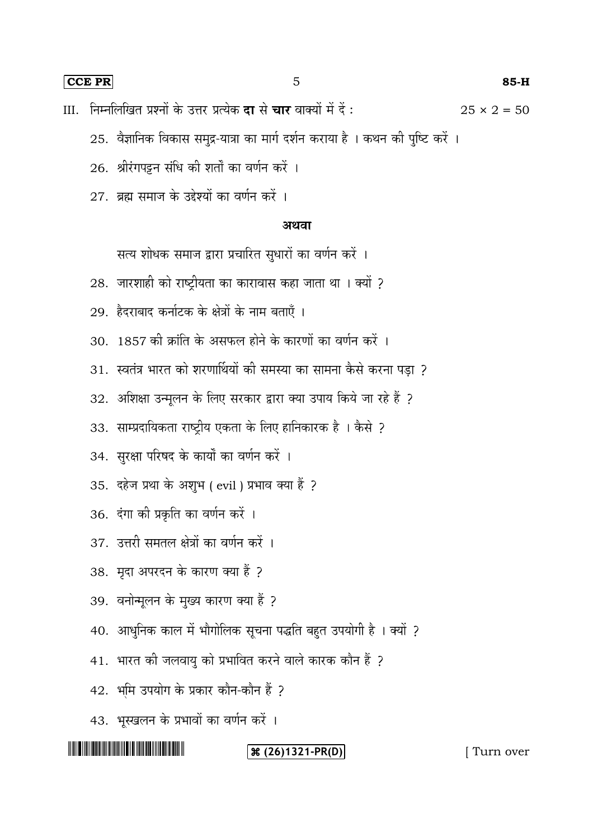**CCE PR** 5 **85-H**

III. निम्नलिखित प्रश्नों के उत्तर प्रत्येक **दा** से चार वाक्यों में दें :  $25 \times 2 = 50$ 

- 25. वैज्ञानिक विकास समुद्र-यात्रा का मार्ग दर्शन कराया है । कथन की पुष्टि करें ।
- 26. श्रीरंगपट्टन संधि की शर्तों का वर्णन करें ।
- 27. ब्रह्म समाज के उद्देश्यों का वर्णन करें ।

### अथवा

सत्य शोधक समाज द्वारा प्रचारित सुधारों का वर्णन करें ।

- 28. जारशाही को राष्ट्रीयता का कारावास कहा जाता था । क्यों ?
- 29. हैदराबाद कर्नाटक के क्षेत्रों के नाम बताएँ ।
- 30. 1857 की क्रांति के असफल होने के कारणों का वर्णन करें ।
- 31. स्वतंत्र भारत को शरणार्थियों की समस्या का सामना कैसे करना पड़ा ?
- 32. अशिक्षा उन्मूलन के लिए सरकार द्वारा क्या उपाय किये जा रहे हैं ?
- 33. साम्प्रदायिकता राष्ट्रीय एकता के लिए हानिकारक है। कैसे ?
- 34. सुरक्षा परिषद के कार्यों का वर्णन करें ।
- 35. दहेज प्रथा के अशुभ ( evil ) प्रभाव क्या हैं ?
- 36. दंगा की प्रकृति का वर्णन करें ।
- 37. उत्तरी समतल क्षेत्रों का वर्णन करें ।
- 38. मृदा अपरदन के कारण क्या हैं ?
- 39. वनोन्मूलन के मुख्य कारण क्या हैं ?
- 40. आधुनिक काल में भौगोलिक सूचना पद्धति बहुत उपयोगी है । क्यों ?
- 41. भारत की जलवायु को प्रभावित करने वाले कारक कौन हैं ?
- 42. भूमि उपयोग के प्रकार कौन-कौन हैं ?
- 43. भूस्खलन के प्रभावों का वर्णन करें ।

## <u> Alban Maria Maria Maria Maria Maria Maria Maria Maria Maria Maria Maria Maria Maria Maria Maria Maria Maria M</u>

## **(26) 1321-PR(D)** [ Turn over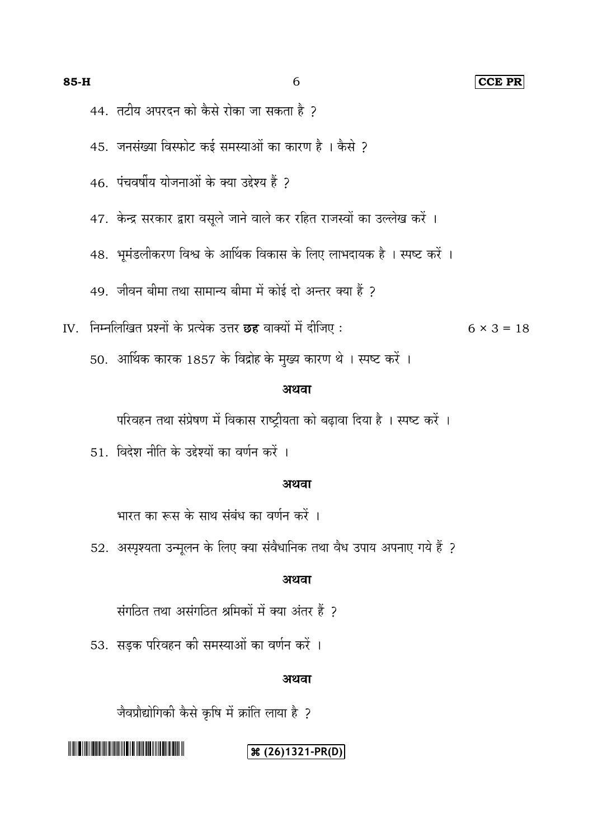**85-H** 6 **CCE PR**

44. तटीय अपरदन को कैसे रोका जा सकता है ?

45. जनसंख्या विस्फोट कई समस्याओं का कारण है । कैसे ?

46. पंचवर्षीय योजनाओं के क्या उद्देश्य हैं २

47. केन्द्र सरकार द्वारा वसूले जाने वाले कर रहित राजस्वों का उल्लेख करें ।

48. भूमंडलीकरण विश्व के आर्थिक विकास के लिए लाभदायक है। स्पष्ट करें।

49. जीवन बीमा तथा सामान्य बीमा में कोई दो अन्तर क्या हैं ?

IV. निम्नलिखित प्रश्नों के प्रत्येक उत्तर **छह** वाक्यों में दीजिए :  $6 \times 3 = 18$ 

50. आर्थिक कारक 1857 के विद्रोह के मुख्य कारण थे । स्पष्ट करें ।

#### अथवा

परिवहन तथा संप्रेषण में विकास राष्ट्रीयता को बढ़ावा दिया है । स्पष्ट करें ।

51. विदेश नीति के उद्देश्यों का वर्णन करें ।

#### अथवा

भारत का रूस के साथ संबंध का वर्णन करें ।

52. अस्पृश्यता उन्मूलन के लिए क्या संवैधानिक तथा वैध उपाय अपनाए गये हैं ?

#### अथवा

संगठित तथा असंगठित श्रमिकों में क्या अंतर हैं ?

53.

#### अथवा

जैवप्रौद्योगिकी कैसे कृषि में क्रांति लाया है ?

## **(26)1321-PR(D)**

<u> 1999 - Johann Maria Barat, martin shkriti mashrida në përfshum në përfshum në përfshum në përfshum në përfshu</u>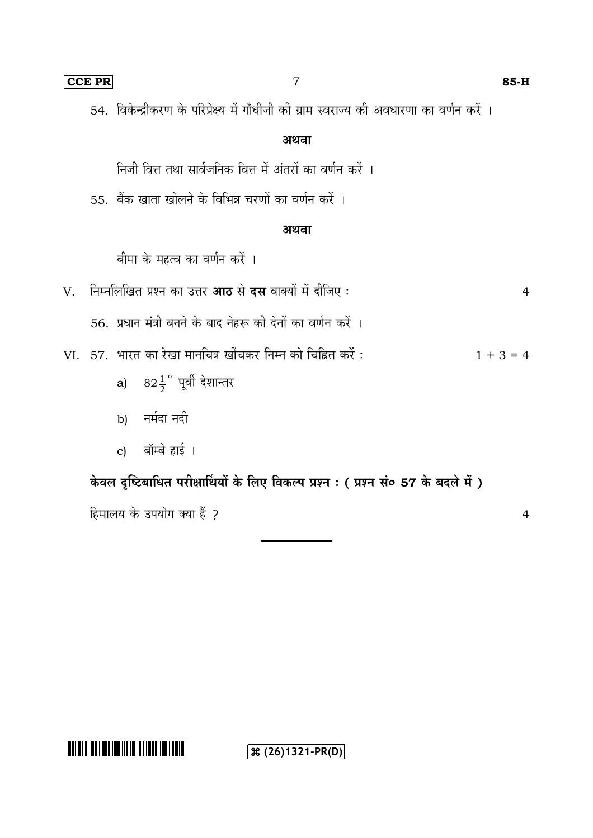54. अथवा निजी वित्त तथा सार्वजनिक वित्त में अंतरों का वर्णन करें । 55. बैंक खाता खोलने के विभिन्न चरणों का वर्णन करें । अथवा बीमा के महत्व का वर्णन करें । V. 4 56.

VI. 57. भारत का रेखा मानचित्र खींचकर निम्न को चिह्नित करें :  $1 + 3 = 4$ 

- a)  $82\frac{1}{2}$ 1 o
- b) नर्मदा नदी
- बॉम्बे हाई । c)

केवल दृष्टिबाधित परीक्षार्थियों के लिए विकल्प प्रश्न : ( प्रश्न सं० 57 के बदले में )

हिमालय के उपयोग क्या हैं ?

**(36)1321-PR(D)** 

#### **CCE PR** 7 **85-H**

4